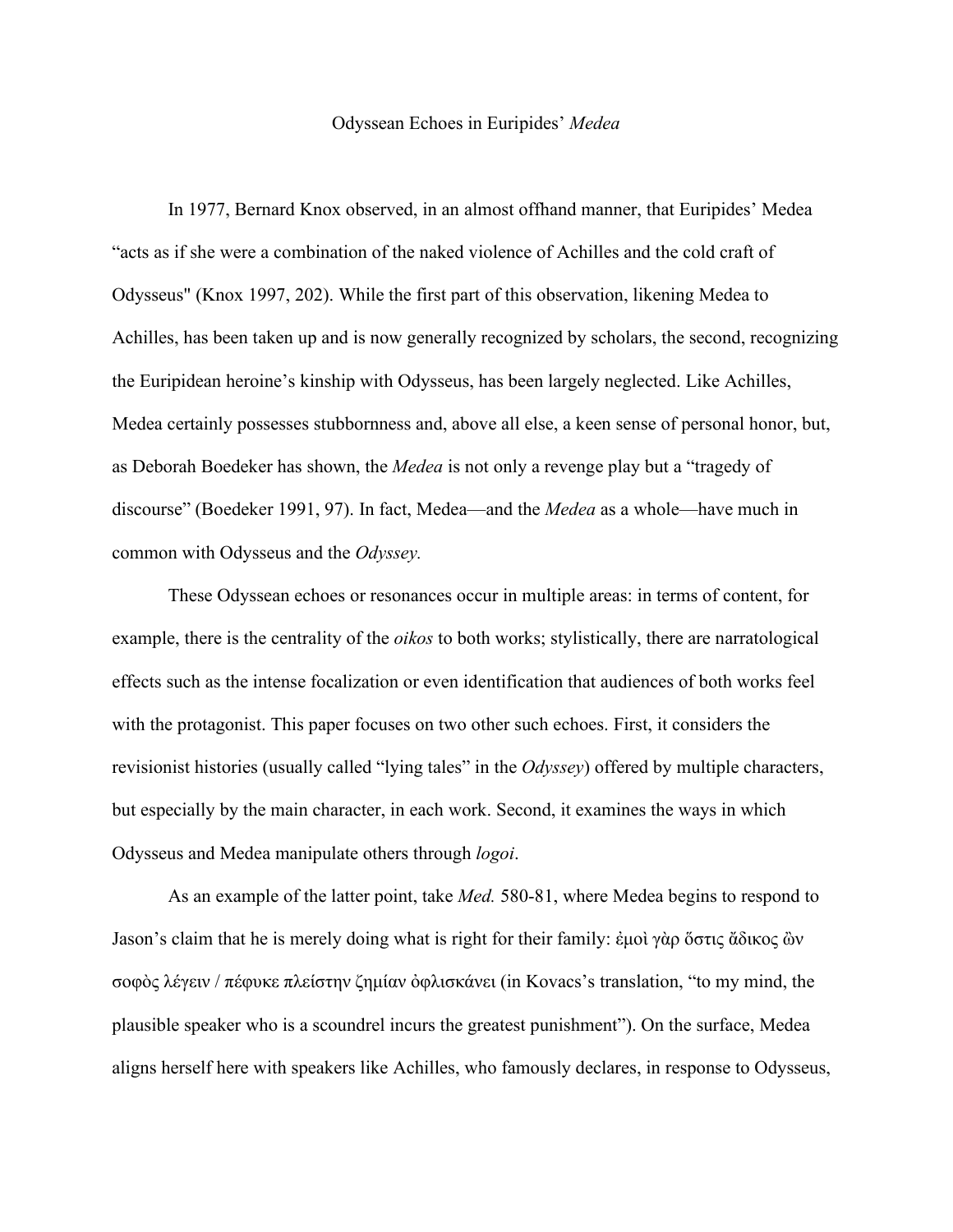## Odyssean Echoes in Euripides' *Medea*

In 1977, Bernard Knox observed, in an almost offhand manner, that Euripides' Medea "acts as if she were a combination of the naked violence of Achilles and the cold craft of Odysseus" (Knox 1997, 202). While the first part of this observation, likening Medea to Achilles, has been taken up and is now generally recognized by scholars, the second, recognizing the Euripidean heroine's kinship with Odysseus, has been largely neglected. Like Achilles, Medea certainly possesses stubbornness and, above all else, a keen sense of personal honor, but, as Deborah Boedeker has shown, the *Medea* is not only a revenge play but a "tragedy of discourse" (Boedeker 1991, 97). In fact, Medea—and the *Medea* as a whole—have much in common with Odysseus and the *Odyssey.*

These Odyssean echoes or resonances occur in multiple areas: in terms of content, for example, there is the centrality of the *oikos* to both works; stylistically, there are narratological effects such as the intense focalization or even identification that audiences of both works feel with the protagonist. This paper focuses on two other such echoes. First, it considers the revisionist histories (usually called "lying tales" in the *Odyssey*) offered by multiple characters, but especially by the main character, in each work. Second, it examines the ways in which Odysseus and Medea manipulate others through *logoi*.

As an example of the latter point, take *Med.* 580-81, where Medea begins to respond to Jason's claim that he is merely doing what is right for their family: ἐμοὶ γὰρ ὅστις ἄδικος ὢν σοφὸς λέγειν / πέφυκε πλείστην ζημίαν ὀφλισκάνει (in Kovacs's translation, "to my mind, the plausible speaker who is a scoundrel incurs the greatest punishment"). On the surface, Medea aligns herself here with speakers like Achilles, who famously declares, in response to Odysseus,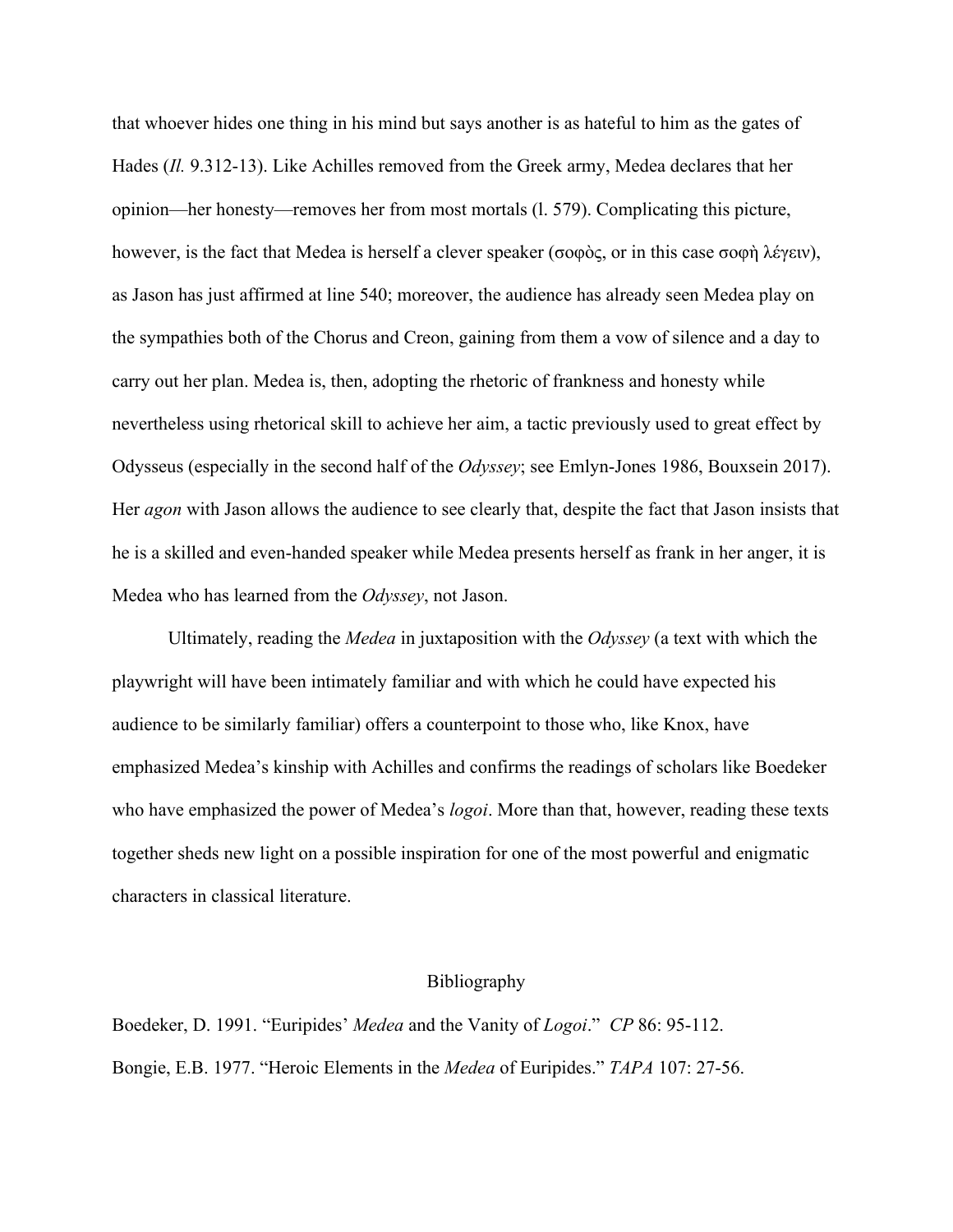that whoever hides one thing in his mind but says another is as hateful to him as the gates of Hades (*Il.* 9.312-13). Like Achilles removed from the Greek army, Medea declares that her opinion—her honesty—removes her from most mortals (l. 579). Complicating this picture, however, is the fact that Medea is herself a clever speaker (σοφὸς, or in this case σοφὴ λέγειν), as Jason has just affirmed at line 540; moreover, the audience has already seen Medea play on the sympathies both of the Chorus and Creon, gaining from them a vow of silence and a day to carry out her plan. Medea is, then, adopting the rhetoric of frankness and honesty while nevertheless using rhetorical skill to achieve her aim, a tactic previously used to great effect by Odysseus (especially in the second half of the *Odyssey*; see Emlyn-Jones 1986, Bouxsein 2017). Her *agon* with Jason allows the audience to see clearly that, despite the fact that Jason insists that he is a skilled and even-handed speaker while Medea presents herself as frank in her anger, it is Medea who has learned from the *Odyssey*, not Jason.

Ultimately, reading the *Medea* in juxtaposition with the *Odyssey* (a text with which the playwright will have been intimately familiar and with which he could have expected his audience to be similarly familiar) offers a counterpoint to those who, like Knox, have emphasized Medea's kinship with Achilles and confirms the readings of scholars like Boedeker who have emphasized the power of Medea's *logoi*. More than that, however, reading these texts together sheds new light on a possible inspiration for one of the most powerful and enigmatic characters in classical literature.

## Bibliography

Boedeker, D. 1991. "Euripides' *Medea* and the Vanity of *Logoi*." *CP* 86: 95-112. Bongie, E.B. 1977. "Heroic Elements in the *Medea* of Euripides." *TAPA* 107: 27-56.